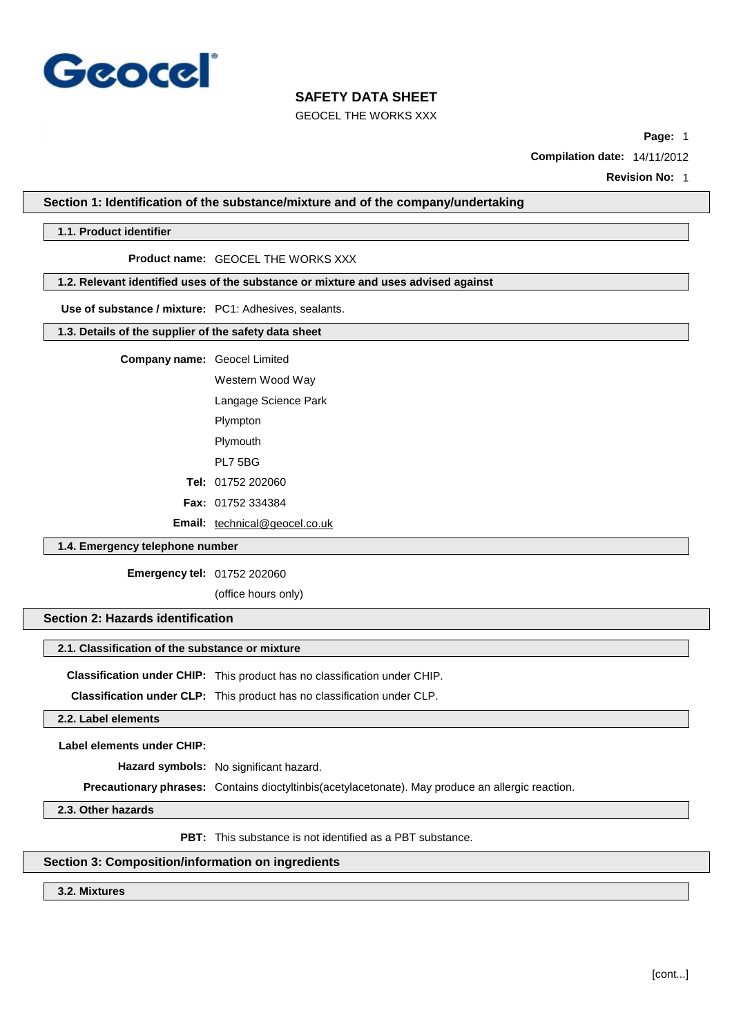

GEOCEL THE WORKS XXX

**Page:** 1

**Compilation date:** 14/11/2012

**Revision No:** 1

**Section 1: Identification of the substance/mixture and of the company/undertaking**

## **1.1. Product identifier**

#### **Product name:** GEOCEL THE WORKS XXX

# **1.2. Relevant identified uses of the substance or mixture and uses advised against**

**Use of substance / mixture:** PC1: Adhesives, sealants.

### **1.3. Details of the supplier of the safety data sheet**

**Company name:** Geocel Limited

Western Wood Way

Langage Science Park

Plympton

Plymouth

PL7 5BG

**Tel:** 01752 202060

**Fax:** 01752 334384

**Email:** [technical@geocel.co.uk](mailto:technical@geocel.co.uk)

# **1.4. Emergency telephone number**

**Emergency tel:** 01752 202060

(office hours only)

## **Section 2: Hazards identification**

#### **2.1. Classification of the substance or mixture**

**Classification under CHIP:** This product has no classification under CHIP.

**Classification under CLP:** This product has no classification under CLP.

**2.2. Label elements**

**Label elements under CHIP:**

**Hazard symbols:** No significant hazard.

**Precautionary phrases:** Contains dioctyltinbis(acetylacetonate). May produce an allergic reaction.

**2.3. Other hazards**

**PBT:** This substance is not identified as a PBT substance.

# **Section 3: Composition/information on ingredients**

**3.2. Mixtures**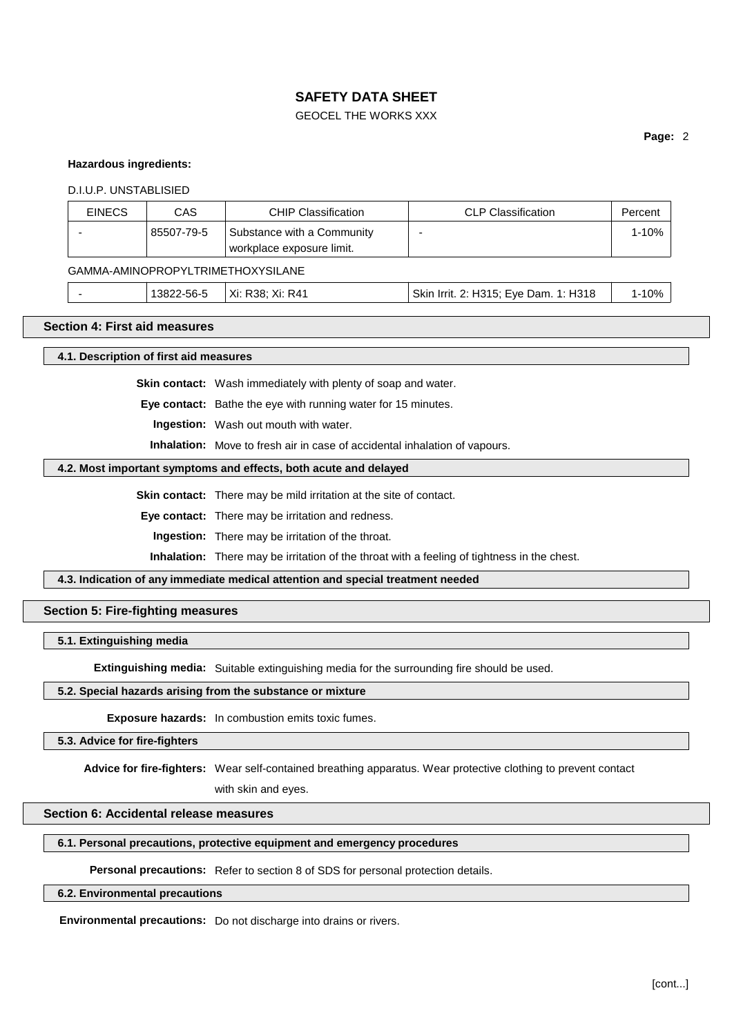# GEOCEL THE WORKS XXX

# **Page:** 2

### **Hazardous ingredients:**

#### D.I.U.P. UNSTABLISIED

| <b>EINECS</b> | CAS        | <b>CHIP Classification</b>                              | <b>CLP Classification</b> | Percent |
|---------------|------------|---------------------------------------------------------|---------------------------|---------|
|               | 85507-79-5 | Substance with a Community<br>workplace exposure limit. |                           | 1-10%   |

# GAMMA-AMINOPROPYLTRIMETHOXYSILANE

|  |  | '382.<br>2-56- | . Xi: R4′<br>Xi:<br>. R38 <sup>.</sup> | 1: H318<br>Skin<br>2: H315:<br>Eve Dam.<br><b>Irrit</b> | 1 ሰ0/<br><b>V</b> 70 |  |
|--|--|----------------|----------------------------------------|---------------------------------------------------------|----------------------|--|
|--|--|----------------|----------------------------------------|---------------------------------------------------------|----------------------|--|

## **Section 4: First aid measures**

### **4.1. Description of first aid measures**

**Skin contact:** Wash immediately with plenty of soap and water.

**Eye contact:** Bathe the eye with running water for 15 minutes.

**Ingestion:** Wash out mouth with water.

**Inhalation:** Move to fresh air in case of accidental inhalation of vapours.

#### **4.2. Most important symptoms and effects, both acute and delayed**

**Skin contact:** There may be mild irritation at the site of contact.

**Eye contact:** There may be irritation and redness.

**Ingestion:** There may be irritation of the throat.

**Inhalation:** There may be irritation of the throat with a feeling of tightness in the chest.

**4.3. Indication of any immediate medical attention and special treatment needed**

## **Section 5: Fire-fighting measures**

#### **5.1. Extinguishing media**

**Extinguishing media:** Suitable extinguishing media for the surrounding fire should be used.

# **5.2. Special hazards arising from the substance or mixture**

**Exposure hazards:** In combustion emits toxic fumes.

#### **5.3. Advice for fire-fighters**

**Advice for fire-fighters:** Wear self-contained breathing apparatus. Wear protective clothing to prevent contact

with skin and eyes.

# **Section 6: Accidental release measures**

## **6.1. Personal precautions, protective equipment and emergency procedures**

# **Personal precautions:** Refer to section 8 of SDS for personal protection details.

# **6.2. Environmental precautions**

**Environmental precautions:** Do not discharge into drains or rivers.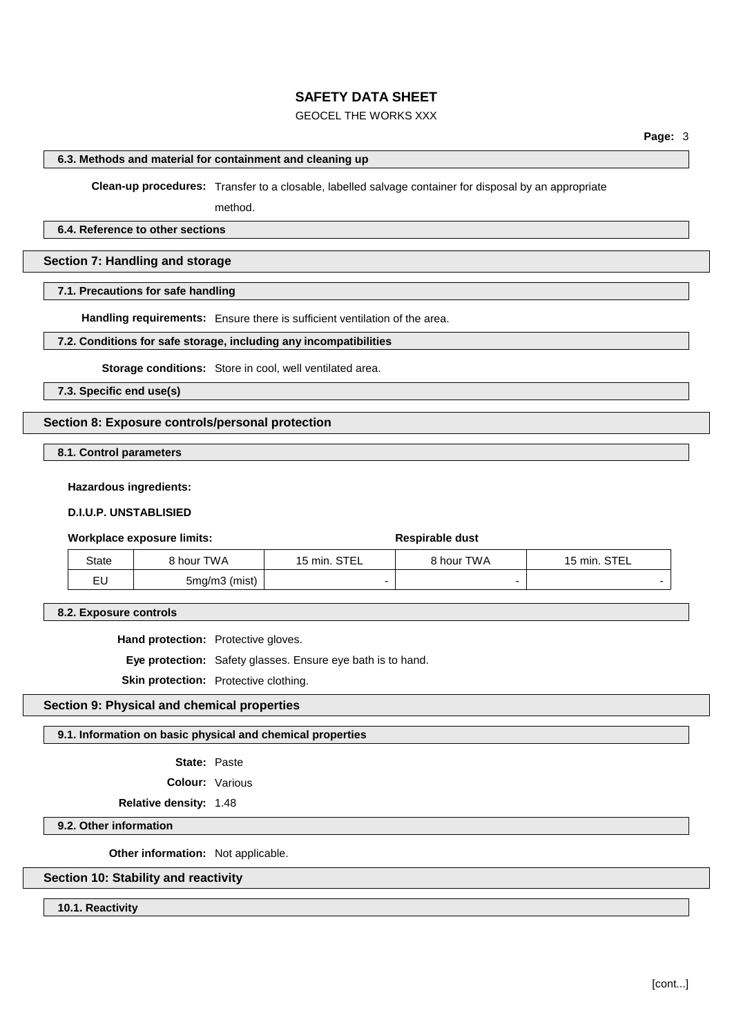# GEOCEL THE WORKS XXX

# **6.3. Methods and material for containment and cleaning up**

**Clean-up procedures:** Transfer to a closable, labelled salvage container for disposal by an appropriate

method.

# **6.4. Reference to other sections**

# **Section 7: Handling and storage**

## **7.1. Precautions for safe handling**

**Handling requirements:** Ensure there is sufficient ventilation of the area.

### **7.2. Conditions for safe storage, including any incompatibilities**

**Storage conditions:** Store in cool, well ventilated area.

**7.3. Specific end use(s)**

# **Section 8: Exposure controls/personal protection**

**8.1. Control parameters**

#### **Hazardous ingredients:**

## **D.I.U.P. UNSTABLISIED**

#### **Workplace exposure limits: Respirable** dust

| <b>State</b> | 8 hour TWA    | . STEI<br>15 min. | <b>8 hour TWA</b> | 15 min. STEL |
|--------------|---------------|-------------------|-------------------|--------------|
| EU           | 5mg/m3 (mist) |                   |                   |              |

**8.2. Exposure controls**

**Hand protection:** Protective gloves.

**Eye protection:** Safety glasses. Ensure eye bath is to hand.

**Skin protection:** Protective clothing.

# **Section 9: Physical and chemical properties**

## **9.1. Information on basic physical and chemical properties**

- **State:** Paste
- **Colour:** Various

**Relative density:** 1.48

## **9.2. Other information**

**Other information:** Not applicable.

# **Section 10: Stability and reactivity**

**10.1. Reactivity**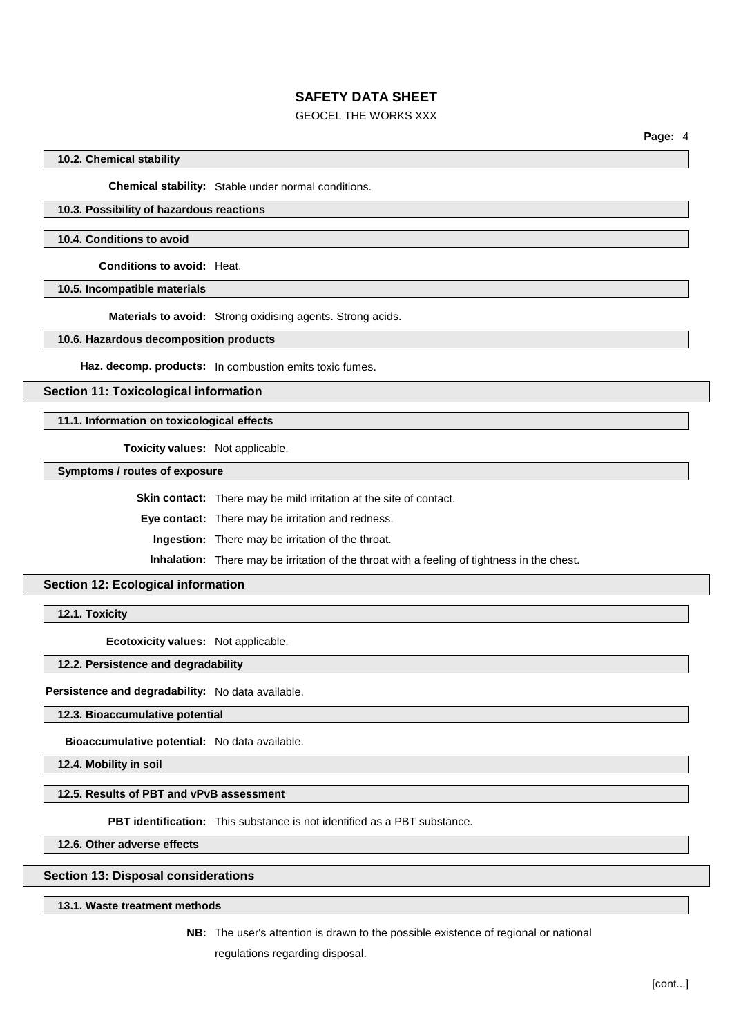# GEOCEL THE WORKS XXX

**Page:** 4

# **10.2. Chemical stability**

**Chemical stability:** Stable under normal conditions.

# **10.3. Possibility of hazardous reactions**

#### **10.4. Conditions to avoid**

**Conditions to avoid:** Heat.

**10.5. Incompatible materials**

**Materials to avoid:** Strong oxidising agents. Strong acids.

**10.6. Hazardous decomposition products**

**Haz. decomp. products:** In combustion emits toxic fumes.

**Section 11: Toxicological information**

#### **11.1. Information on toxicological effects**

**Toxicity values:** Not applicable.

**Symptoms / routes of exposure**

**Skin contact:** There may be mild irritation at the site of contact.

**Eye contact:** There may be irritation and redness.

**Ingestion:** There may be irritation of the throat.

**Inhalation:** There may be irritation of the throat with a feeling of tightness in the chest.

# **Section 12: Ecological information**

**12.1. Toxicity**

**Ecotoxicity values:** Not applicable.

**12.2. Persistence and degradability**

**Persistence and degradability:** No data available.

**12.3. Bioaccumulative potential**

**Bioaccumulative potential:** No data available.

**12.4. Mobility in soil**

## **12.5. Results of PBT and vPvB assessment**

**PBT identification:** This substance is not identified as a PBT substance.

**12.6. Other adverse effects**

## **Section 13: Disposal considerations**

**13.1. Waste treatment methods**

**NB:** The user's attention is drawn to the possible existence of regional or national regulations regarding disposal.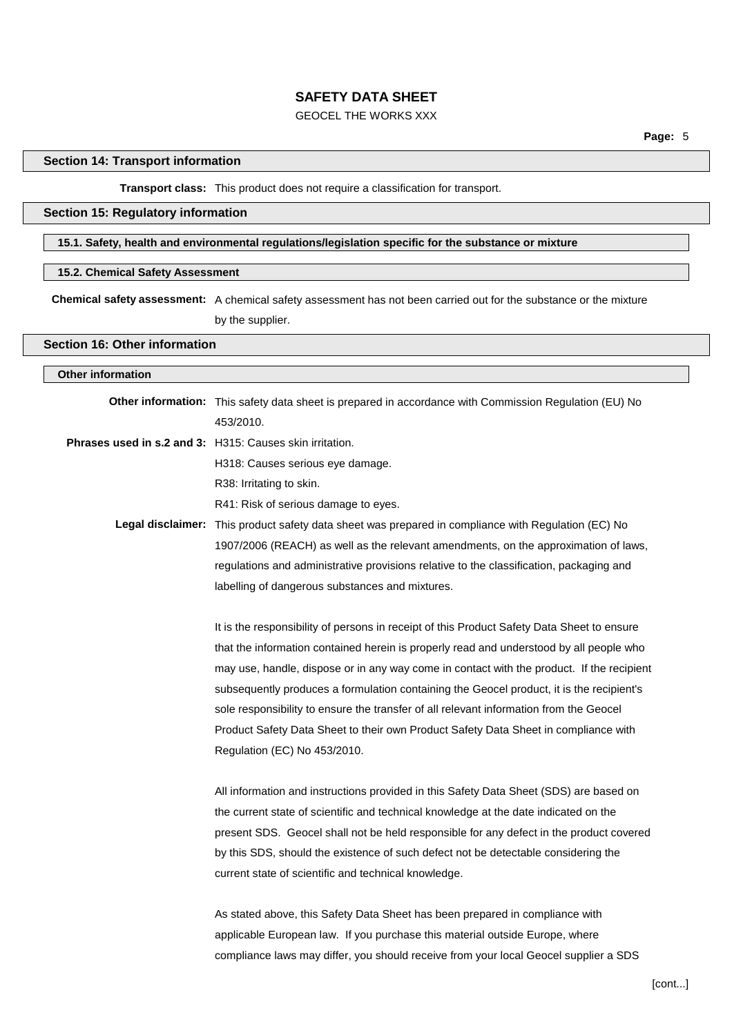# GEOCEL THE WORKS XXX

# **Section 14: Transport information**

# **Transport class:** This product does not require a classification for transport.

# **Section 15: Regulatory information**

# **15.1. Safety, health and environmental regulations/legislation specific for the substance or mixture**

# **15.2. Chemical Safety Assessment**

**Chemical safety assessment:** A chemical safety assessment has not been carried out for the substance or the mixture by the supplier.

## **Section 16: Other information**

# **Other information**

| Other information: This safety data sheet is prepared in accordance with Commission Regulation (EU) No |
|--------------------------------------------------------------------------------------------------------|
| 453/2010.                                                                                              |
| Phrases used in s.2 and 3: H315: Causes skin irritation.                                               |
| H318: Causes serious eye damage.                                                                       |
| R38: Irritating to skin.                                                                               |
| R41: Risk of serious damage to eyes.                                                                   |
| Legal disclaimer: This product safety data sheet was prepared in compliance with Regulation (EC) No    |
| 1907/2006 (REACH) as well as the relevant amendments, on the approximation of laws,                    |
| regulations and administrative provisions relative to the classification, packaging and                |
| labelling of dangerous substances and mixtures.                                                        |
|                                                                                                        |
| It is the responsibility of persons in receipt of this Product Safety Data Sheet to ensure             |
| that the information contained herein is properly read and understood by all people who                |
| may use, handle, dispose or in any way come in contact with the product. If the recipient              |
| subsequently produces a formulation containing the Geocel product, it is the recipient's               |
| sole responsibility to ensure the transfer of all relevant information from the Geocel                 |
| Product Safety Data Sheet to their own Product Safety Data Sheet in compliance with                    |
| Regulation (EC) No 453/2010.                                                                           |
|                                                                                                        |
| All information and instructions provided in this Safety Data Sheet (SDS) are based on                 |
| the current state of scientific and technical knowledge at the date indicated on the                   |
| present SDS. Geocel shall not be held responsible for any defect in the product covered                |
| by this SDS, should the existence of such defect not be detectable considering the                     |
| current state of scientific and technical knowledge.                                                   |
|                                                                                                        |
| As stated above this Safety Data Sheet has been prepared in compliance with                            |

ve, this Safety Data Sheet has been prepared in compliance with applicable European law. If you purchase this material outside Europe, where compliance laws may differ, you should receive from your local Geocel supplier a SDS